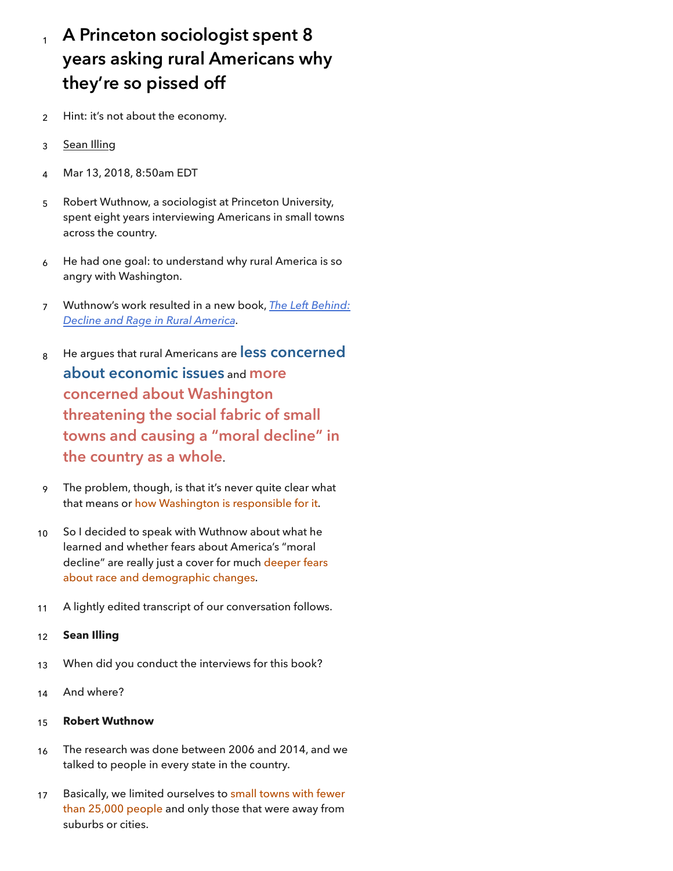- 1 **A Princeton sociologist spent 8 years asking rural Americans why they're so pissed off**
- 2 Hint: it's not about the economy.
- 3 [Sean Illing](https://www.vox.com/authors/sean-illing)
- 4 Mar 13, 2018, 8:50am EDT
- 5 Robert Wuthnow, a sociologist at Princeton University, spent eight years interviewing Americans in small towns across the country.
- 6 He had one goal: to understand why rural America is so angry with Washington.
- 7 Wuthnow's work resulted in a new book, *[The Left Behind:](https://press.princeton.edu/titles/11239.html)  [Decline and Rage in Rural America.](https://press.princeton.edu/titles/11239.html)*
- 8 He argues that rural Americans are **less concerned about economic issues** and **more concerned about Washington threatening the social fabric of small towns and causing a "moral decline" in the country as a whole**.
- $\circ$ The problem, though, is that it's never quite clear what that means or how Washington is responsible for it.
- 10 So I decided to speak with Wuthnow about what he learned and whether fears about America's "moral decline" are really just a cover for much deeper fears about race and demographic changes.
- 11 A lightly edited transcript of our conversation follows.
- 12 **Sean Illing**
- 13 When did you conduct the interviews for this book?
- 14 And where?

- 16 The research was done between 2006 and 2014, and we talked to people in every state in the country.
- 17 Basically, we limited ourselves to small towns with fewer than 25,000 people and only those that were away from suburbs or cities.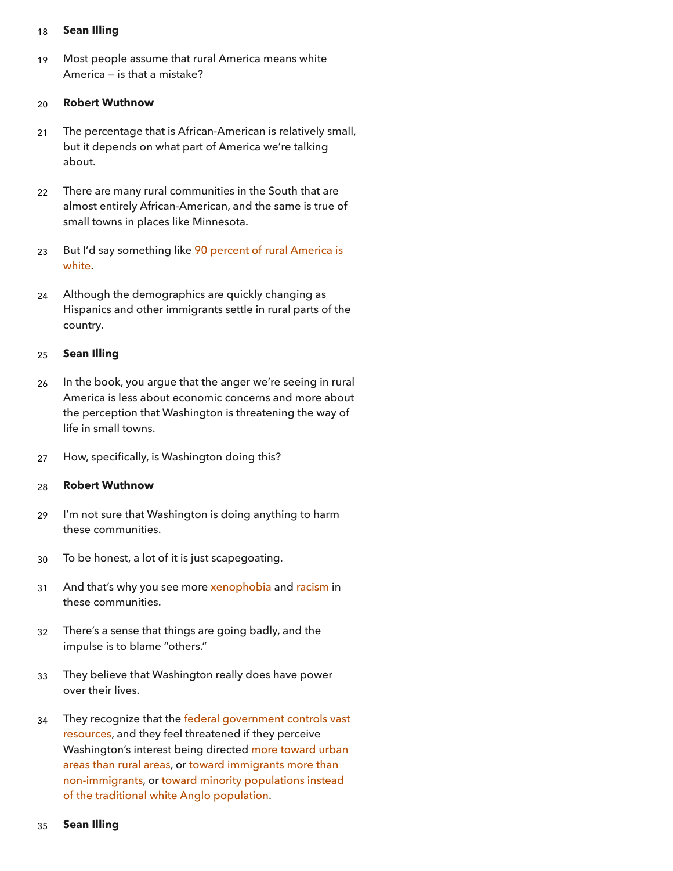#### 18 **Sean Illing**

19 Most people assume that rural America means white America — is that a mistake?

#### 20 **Robert Wuthnow**

- 21 The percentage that is African-American is relatively small, but it depends on what part of America we're talking about.
- 22 There are many rural communities in the South that are almost entirely African-American, and the same is true of small towns in places like Minnesota.
- 23 But I'd say something like 90 percent of rural America is white.
- 24 Although the demographics are quickly changing as Hispanics and other immigrants settle in rural parts of the country.

#### 25 **Sean Illing**

- 26 In the book, you argue that the anger we're seeing in rural America is less about economic concerns and more about the perception that Washington is threatening the way of life in small towns.
- 27 How, specifically, is Washington doing this?

#### 28 **Robert Wuthnow**

- 29 I'm not sure that Washington is doing anything to harm these communities.
- 30 To be honest, a lot of it is just scapegoating.
- 31 And that's why you see more xenophobia and racism in these communities.
- 32 There's a sense that things are going badly, and the impulse is to blame "others."
- 33 They believe that Washington really does have power over their lives.
- 34 They recognize that the federal government controls vast resources, and they feel threatened if they perceive Washington's interest being directed more toward urban areas than rural areas, or toward immigrants more than non-immigrants, or toward minority populations instead of the traditional white Anglo population.

#### 35 **Sean Illing**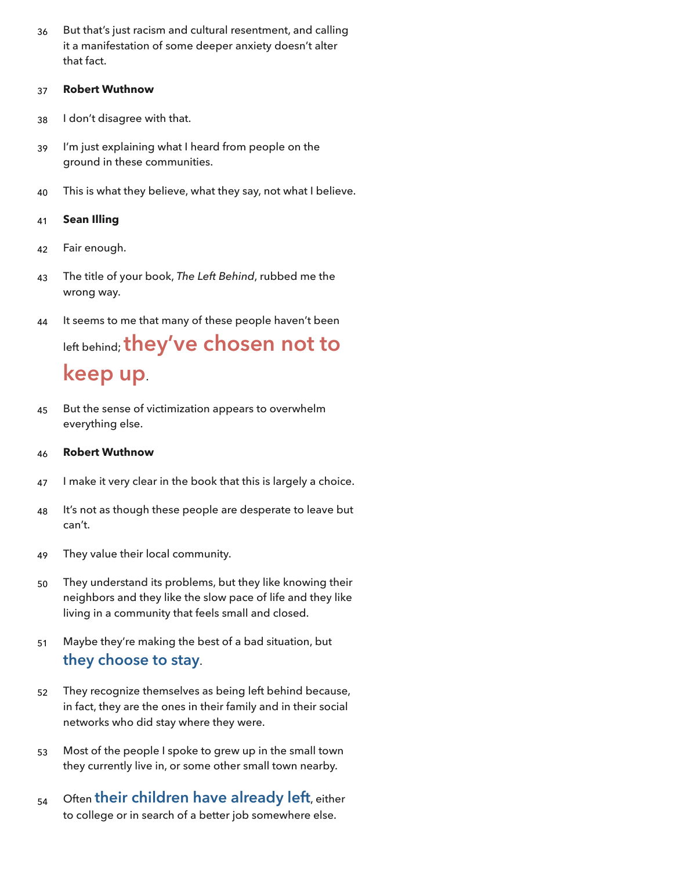36 But that's just racism and cultural resentment, and calling it a manifestation of some deeper anxiety doesn't alter that fact.

#### 37 **Robert Wuthnow**

- 38 I don't disagree with that.
- 39 I'm just explaining what I heard from people on the ground in these communities.
- 40 This is what they believe, what they say, not what I believe.

#### 41 **Sean Illing**

- 42 Fair enough.
- 43 The title of your book, *The Left Behind*, rubbed me the wrong way.
- 44 It seems to me that many of these people haven't been left behind; **they've chosen not to keep up**.
- 45 But the sense of victimization appears to overwhelm everything else.

- 47 I make it very clear in the book that this is largely a choice.
- 48 It's not as though these people are desperate to leave but can't.
- 49 They value their local community.
- 50 They understand its problems, but they like knowing their neighbors and they like the slow pace of life and they like living in a community that feels small and closed.
- 51 Maybe they're making the best of a bad situation, but **they choose to stay**.
- 52 They recognize themselves as being left behind because, in fact, they are the ones in their family and in their social networks who did stay where they were.
- 53 Most of the people I spoke to grew up in the small town they currently live in, or some other small town nearby.
- 54 Often **their children have already left**, either to college or in search of a better job somewhere else.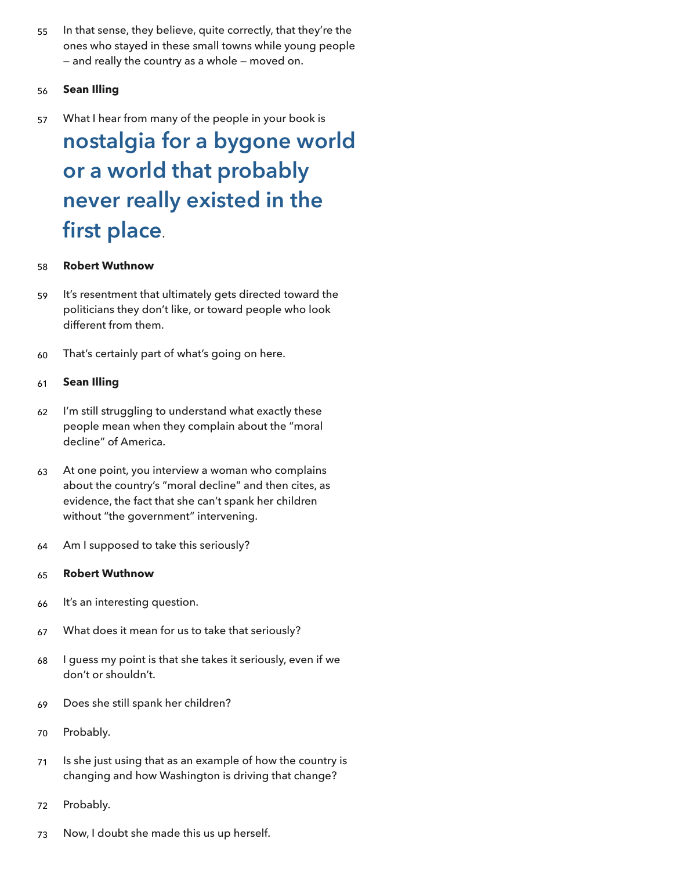55 In that sense, they believe, quite correctly, that they're the ones who stayed in these small towns while young people — and really the country as a whole — moved on.

#### 56 **Sean Illing**

57 What I hear from many of the people in your book is

# **nostalgia for a bygone world or a world that probably never really existed in the first place**.

#### 58 **Robert Wuthnow**

- 59 It's resentment that ultimately gets directed toward the politicians they don't like, or toward people who look different from them.
- 60 That's certainly part of what's going on here.

#### 61 **Sean Illing**

- 62 I'm still struggling to understand what exactly these people mean when they complain about the "moral decline" of America.
- 63 At one point, you interview a woman who complains about the country's "moral decline" and then cites, as evidence, the fact that she can't spank her children without "the government" intervening.
- 64 Am I supposed to take this seriously?

- 66 It's an interesting question.
- 67 What does it mean for us to take that seriously?
- 68 I guess my point is that she takes it seriously, even if we don't or shouldn't.
- 69 Does she still spank her children?
- 70 Probably.
- 71 Is she just using that as an example of how the country is changing and how Washington is driving that change?
- 72 Probably.
- 73 Now, I doubt she made this us up herself.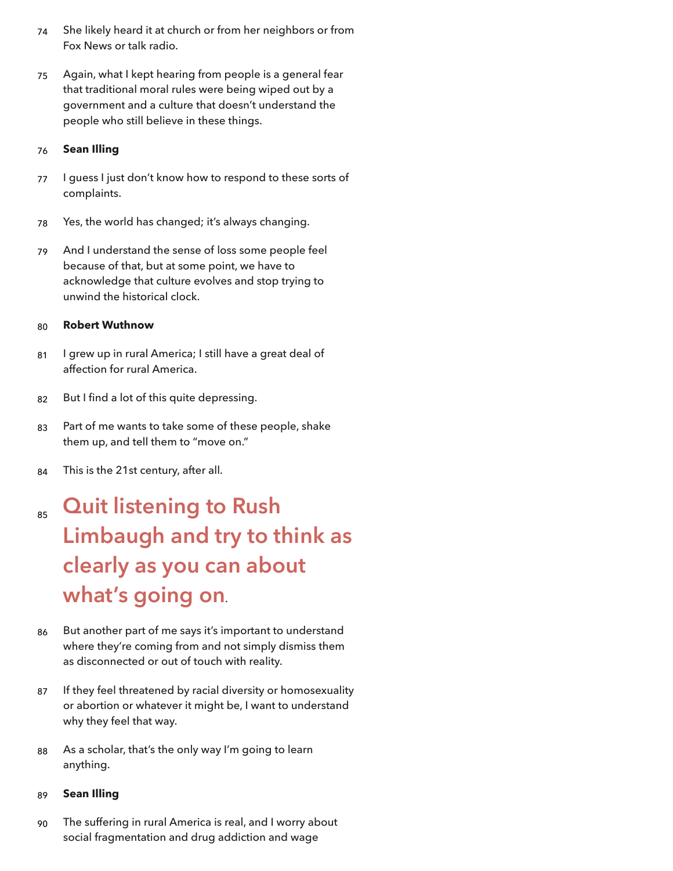- 74 She likely heard it at church or from her neighbors or from Fox News or talk radio.
- 75 Again, what I kept hearing from people is a general fear that traditional moral rules were being wiped out by a government and a culture that doesn't understand the people who still believe in these things.

#### 76 **Sean Illing**

- 77 I guess I just don't know how to respond to these sorts of complaints.
- 78 Yes, the world has changed; it's always changing.
- 79 And I understand the sense of loss some people feel because of that, but at some point, we have to acknowledge that culture evolves and stop trying to unwind the historical clock.

#### 80 **Robert Wuthnow**

- 81 I grew up in rural America; I still have a great deal of affection for rural America.
- 82 But I find a lot of this quite depressing.
- 83 Part of me wants to take some of these people, shake them up, and tell them to "move on."
- 84 This is the 21st century, after all.

## 85 **Quit listening to Rush Limbaugh and try to think as clearly as you can about what's going on**.

- 86 But another part of me says it's important to understand where they're coming from and not simply dismiss them as disconnected or out of touch with reality.
- 87 If they feel threatened by racial diversity or homosexuality or abortion or whatever it might be, I want to understand why they feel that way.
- 88 As a scholar, that's the only way I'm going to learn anything.

#### 89 **Sean Illing**

90 The suffering in rural America is real, and I worry about social fragmentation and drug addiction and wage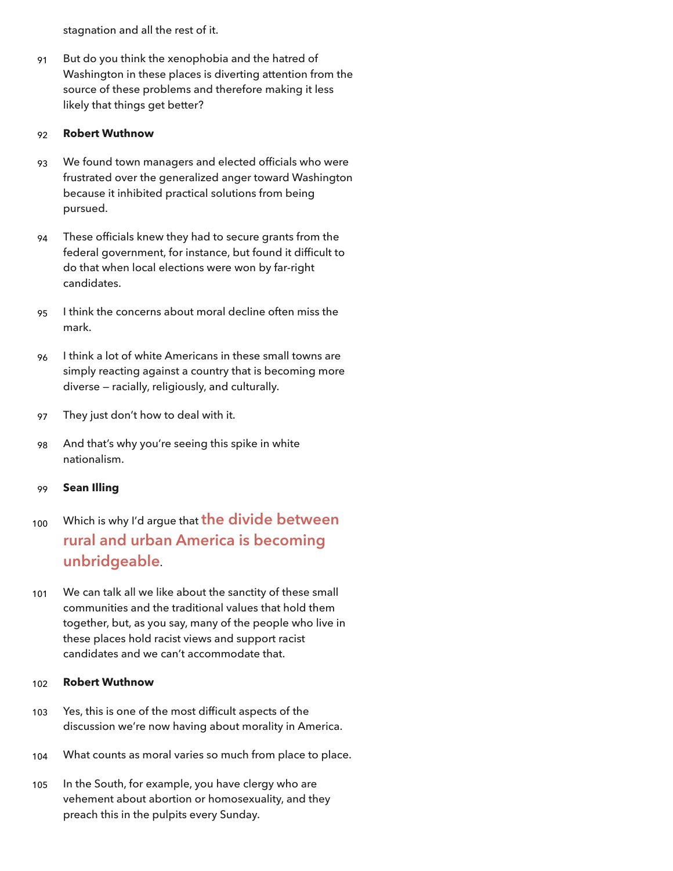stagnation and all the rest of it.

91 But do you think the xenophobia and the hatred of Washington in these places is diverting attention from the source of these problems and therefore making it less likely that things get better?

#### 92 **Robert Wuthnow**

- 93 We found town managers and elected officials who were frustrated over the generalized anger toward Washington because it inhibited practical solutions from being pursued.
- 94 These officials knew they had to secure grants from the federal government, for instance, but found it difficult to do that when local elections were won by far-right candidates.
- 95 I think the concerns about moral decline often miss the mark.
- 96 I think a lot of white Americans in these small towns are simply reacting against a country that is becoming more diverse — racially, religiously, and culturally.
- **97** They just don't how to deal with it.
- 98 And that's why you're seeing this spike in white nationalism.
- 99 **Sean Illing**

### 100 Which is why I'd argue that **the divide between rural and urban America is becoming unbridgeable**.

101 We can talk all we like about the sanctity of these small communities and the traditional values that hold them together, but, as you say, many of the people who live in these places hold racist views and support racist candidates and we can't accommodate that.

- 103 Yes, this is one of the most difficult aspects of the discussion we're now having about morality in America.
- 104 What counts as moral varies so much from place to place.
- 105 In the South, for example, you have clergy who are vehement about abortion or homosexuality, and they preach this in the pulpits every Sunday.